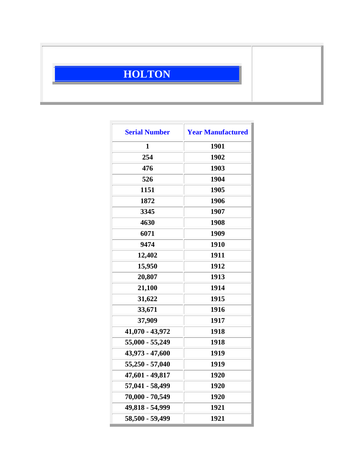## **HOLTON**

| <b>Serial Number</b> | <b>Year Manufactured</b> |
|----------------------|--------------------------|
| 1                    | 1901                     |
| 254                  | 1902                     |
| 476                  | 1903                     |
| 526                  | 1904                     |
| 1151                 | 1905                     |
| 1872                 | 1906                     |
| 3345                 | 1907                     |
| 4630                 | 1908                     |
| 6071                 | 1909                     |
| 9474                 | 1910                     |
| 12,402               | 1911                     |
| 15,950               | 1912                     |
| 20,807               | 1913                     |
| 21,100               | 1914                     |
| 31,622               | 1915                     |
| 33,671               | 1916                     |
| 37,909               | 1917                     |
| 41,070 - 43,972      | 1918                     |
| 55,000 - 55,249      | 1918                     |
| 43,973 - 47,600      | 1919                     |
| 55,250 - 57,040      | 1919                     |
| 47,601 - 49,817      | 1920                     |
| 57,041 - 58,499      | 1920                     |
| 70,000 - 70,549      | 1920                     |
| 49,818 - 54,999      | 1921                     |
| 58,500 - 59,499      | 1921                     |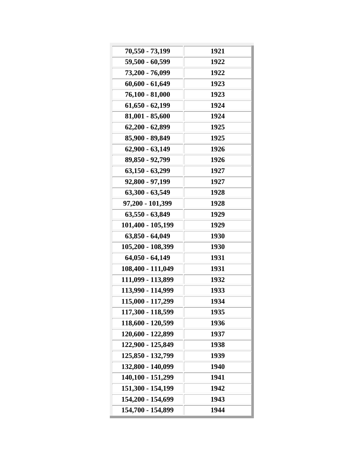| 70,550 - 73,199   | 1921 |
|-------------------|------|
| 59,500 - 60,599   | 1922 |
| 73,200 - 76,099   | 1922 |
| $60,600 - 61,649$ | 1923 |
| $76,100 - 81,000$ | 1923 |
| $61,650 - 62,199$ | 1924 |
| 81,001 - 85,600   | 1924 |
| 62,200 - 62,899   | 1925 |
| 85,900 - 89,849   | 1925 |
| $62,900 - 63,149$ | 1926 |
| 89,850 - 92,799   | 1926 |
| $63,150 - 63,299$ | 1927 |
| 92,800 - 97,199   | 1927 |
| 63,300 - 63,549   | 1928 |
| 97,200 - 101,399  | 1928 |
| 63,550 - 63,849   | 1929 |
| 101,400 - 105,199 | 1929 |
| 63,850 - 64,049   | 1930 |
| 105,200 - 108,399 | 1930 |
| $64,050 - 64,149$ | 1931 |
| 108,400 - 111,049 | 1931 |
| 111,099 - 113,899 | 1932 |
| 113,990 - 114,999 | 1933 |
| 115,000 - 117,299 | 1934 |
| 117,300 - 118,599 | 1935 |
| 118,600 - 120,599 | 1936 |
| 120,600 - 122,899 | 1937 |
| 122,900 - 125,849 | 1938 |
| 125,850 - 132,799 | 1939 |
| 132,800 - 140,099 | 1940 |
| 140,100 - 151,299 | 1941 |
| 151,300 - 154,199 | 1942 |
| 154,200 - 154,699 | 1943 |
| 154,700 - 154,899 | 1944 |
|                   |      |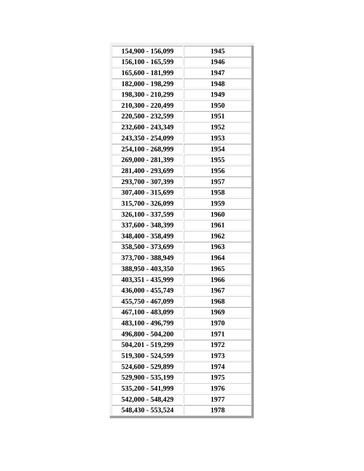| 154,900 - 156,099 | 1945 |
|-------------------|------|
| 156,100 - 165,599 | 1946 |
| 165,600 - 181,999 | 1947 |
| 182,000 - 198,299 | 1948 |
| 198,300 - 210,299 | 1949 |
| 210,300 - 220,499 | 1950 |
| 220,500 - 232,599 | 1951 |
| 232,600 - 243,349 | 1952 |
| 243,350 - 254,099 | 1953 |
| 254,100 - 268,999 | 1954 |
| 269,000 - 281,399 | 1955 |
| 281,400 - 293,699 | 1956 |
| 293,700 - 307,399 | 1957 |
| 307,400 - 315,699 | 1958 |
| 315,700 - 326,099 | 1959 |
| 326,100 - 337,599 | 1960 |
| 337,600 - 348,399 | 1961 |
| 348,400 - 358,499 | 1962 |
| 358,500 - 373,699 | 1963 |
| 373,700 - 388,949 | 1964 |
| 388,950 - 403,350 | 1965 |
| 403,351 - 435,999 | 1966 |
| 436,000 - 455,749 | 1967 |
| 455,750 - 467,099 | 1968 |
| 467,100 - 483,099 | 1969 |
| 483,100 - 496,799 | 1970 |
| 496,800 - 504,200 | 1971 |
| 504,201 - 519,299 | 1972 |
| 519,300 - 524,599 | 1973 |
| 524,600 - 529,899 | 1974 |
| 529,900 - 535,199 | 1975 |
| 535,200 - 541,999 | 1976 |
| 542,000 - 548,429 | 1977 |
| 548,430 - 553,524 | 1978 |
|                   |      |